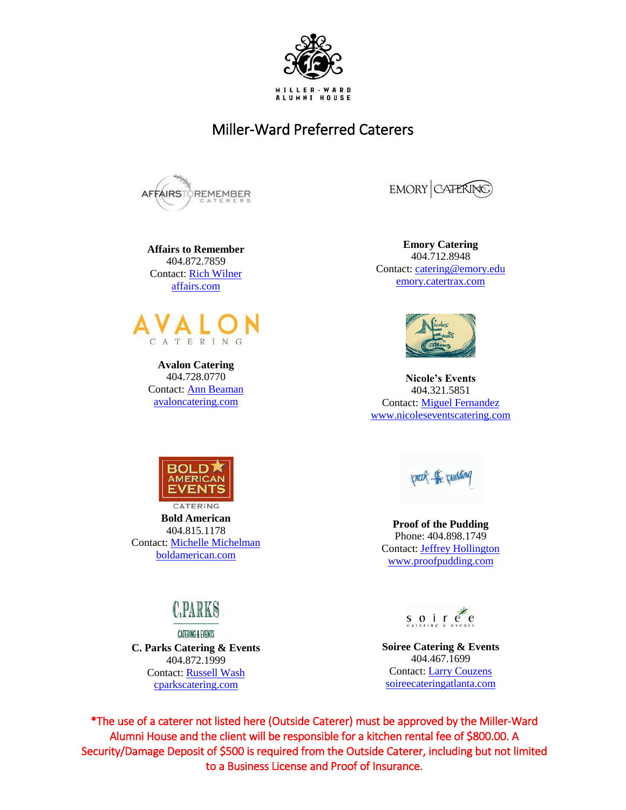

## Miller-Ward Preferred Caterers



**Affairs to Remember** 404.872.7859 Contact: [Rich Wilner](mailto:rich@affairs.com) [affairs.com](http://www.affairs.com/)



**Avalon Catering** 404.728.0770 Contact: [Ann Beaman](mailto:ann@avaloncatering.com) [avaloncatering.com](http://avaloncatering.com/)



**Emory Catering** 404.712.8948 Contact: [catering@emory.edu](mailto:catering@emory.edu) [emory.catertrax.com](http://www.emory.catertrax.com/)



**Nicole's Events** 404.321.5851 Contact: [Miguel Fernandez](mailto:nicolesevents@bellsouth.net) [www.nicoleseventscatering.com](http://www.nicoleseventscatering.com/)



**Bold American** 404.815.1178 Contact: [Michelle Michelman](mailto:Michelle%20Michelman) [boldamerican.com](http://boldamerican.com/)



**CATERING & EVENTS C. Parks Catering & Events** 404.872.1999 Contact: [Russell Wash](mailto:russell@cparkscatering.com) [cparkscatering.com](http://www.cparkscatering.com/)

lorcal the budding

**Proof of the Pudding** Phone: 404.898.1749 Contact[: Jeffrey Hollington](mailto:jhollington@proofpudding.com) [www.proofpudding.com](http://www.proofpudding.com/)

soir $e^e$ 

**Soiree Catering & Events** 404.467.1699 Contact: [Larry Couzens](mailto:larry@soireecateringatlanta.com) soireecateringatlanta.com

\*The use of a caterer not listed here (Outside Caterer) must be approved by the Miller-Ward Alumni House and the client will be responsible for a kitchen rental fee of \$800.00. A Security/Damage Deposit of \$500 is required from the Outside Caterer, including but not limited to a Business License and Proof of Insurance.